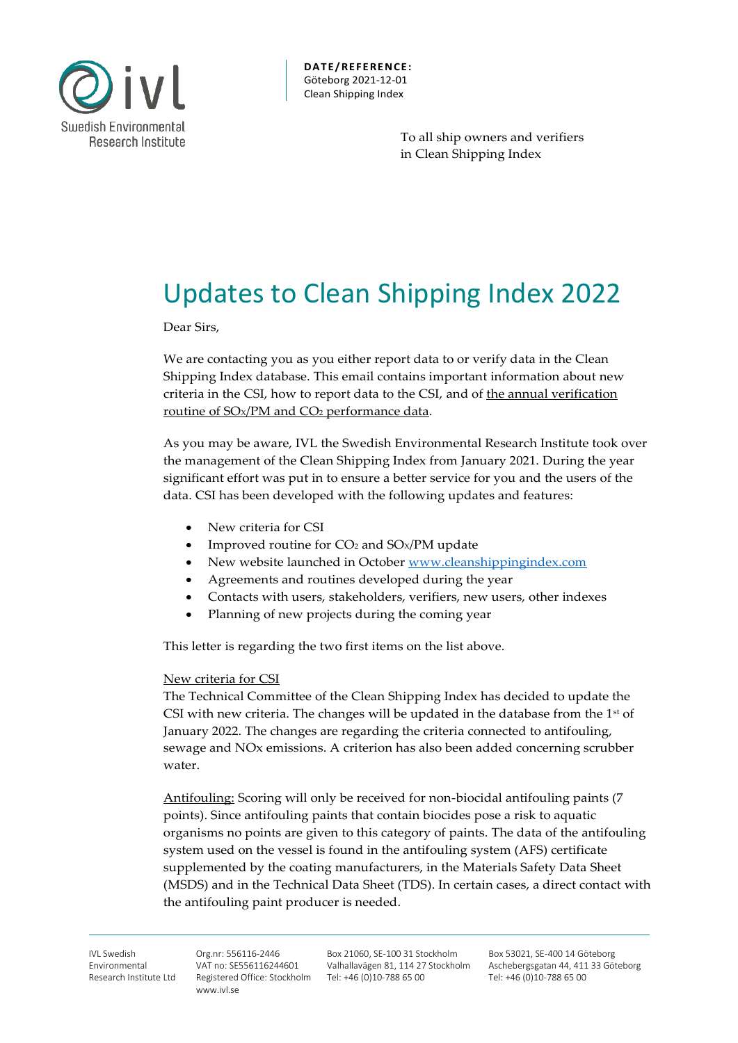

**DAT E/ RE FE RE NCE :** Göteborg 2021-12-01 Clean Shipping Index

> To all ship owners and verifiers in Clean Shipping Index

## Updates to Clean Shipping Index 2022

Dear Sirs,

We are contacting you as you either report data to or verify data in the Clean Shipping Index database. This email contains important information about new criteria in the CSI, how to report data to the CSI, and of the annual verification routine of SO<sub>x</sub>/PM and CO<sub>2</sub> performance data.

As you may be aware, IVL the Swedish Environmental Research Institute took over the management of the Clean Shipping Index from January 2021. During the year significant effort was put in to ensure a better service for you and the users of the data. CSI has been developed with the following updates and features:

- New criteria for CSI
- Improved routine for CO<sub>2</sub> and SO<sub>X</sub>/PM update
- New website launched in October [www.cleanshippingindex.com](http://www.cleanshippingindex.com/)
- Agreements and routines developed during the year
- Contacts with users, stakeholders, verifiers, new users, other indexes
- Planning of new projects during the coming year

This letter is regarding the two first items on the list above.

#### New criteria for CSI

The Technical Committee of the Clean Shipping Index has decided to update the CSI with new criteria. The changes will be updated in the database from the  $1<sup>st</sup>$  of January 2022. The changes are regarding the criteria connected to antifouling, sewage and NOx emissions. A criterion has also been added concerning scrubber water.

Antifouling: Scoring will only be received for non-biocidal antifouling paints (7 points). Since antifouling paints that contain biocides pose a risk to aquatic organisms no points are given to this category of paints. The data of the antifouling system used on the vessel is found in the antifouling system (AFS) certificate supplemented by the coating manufacturers, in the Materials Safety Data Sheet (MSDS) and in the Technical Data Sheet (TDS). In certain cases, a direct contact with the antifouling paint producer is needed.

Org.nr: 556116-2446 VAT no: SE556116244601 Registered Office: Stockholm Tel: +46 (0)10-788 65 00 www.ivl.se

Box 21060, SE-100 31 Stockholm Valhallavägen 81, 114 27 Stockholm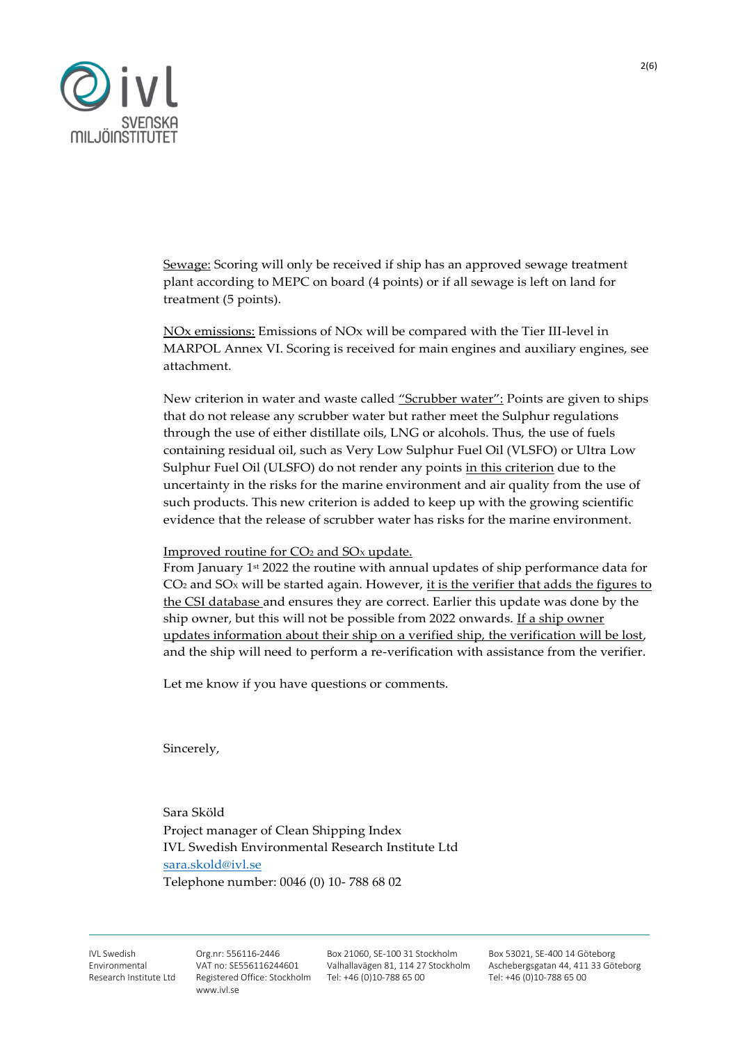

Sewage: Scoring will only be received if ship has an approved sewage treatment plant according to MEPC on board (4 points) or if all sewage is left on land for treatment (5 points).

NOx emissions: Emissions of NOx will be compared with the Tier III-level in MARPOL Annex VI. Scoring is received for main engines and auxiliary engines, see attachment.

New criterion in water and waste called "Scrubber water": Points are given to ships that do not release any scrubber water but rather meet the Sulphur regulations through the use of either distillate oils, LNG or alcohols. Thus, the use of fuels containing residual oil, such as Very Low Sulphur Fuel Oil (VLSFO) or Ultra Low Sulphur Fuel Oil (ULSFO) do not render any points in this criterion due to the uncertainty in the risks for the marine environment and air quality from the use of such products. This new criterion is added to keep up with the growing scientific evidence that the release of scrubber water has risks for the marine environment.

Improved routine for CO<sup>2</sup> and SO<sup>X</sup> update.

From January 1st 2022 the routine with annual updates of ship performance data for  $CO<sub>2</sub>$  and  $SO<sub>X</sub>$  will be started again. However, it is the verifier that adds the figures to the CSI database and ensures they are correct. Earlier this update was done by the ship owner, but this will not be possible from 2022 onwards. If a ship owner updates information about their ship on a verified ship, the verification will be lost, and the ship will need to perform a re-verification with assistance from the verifier.

Let me know if you have questions or comments.

Sincerely,

Sara Sköld Project manager of Clean Shipping Index IVL Swedish Environmental Research Institute Ltd [sara.skold@ivl.se](mailto:sara.skold@ivl.se) Telephone number: 0046 (0) 10- 788 68 02

IVI Swedish Environmental Research Institute Ltd Org.nr: 556116-2446 VAT no: SE556116244601 Registered Office: Stockholm Tel: +46 (0)10-788 65 00 www.ivl.se

Box 21060, SE-100 31 Stockholm Valhallavägen 81, 114 27 Stockholm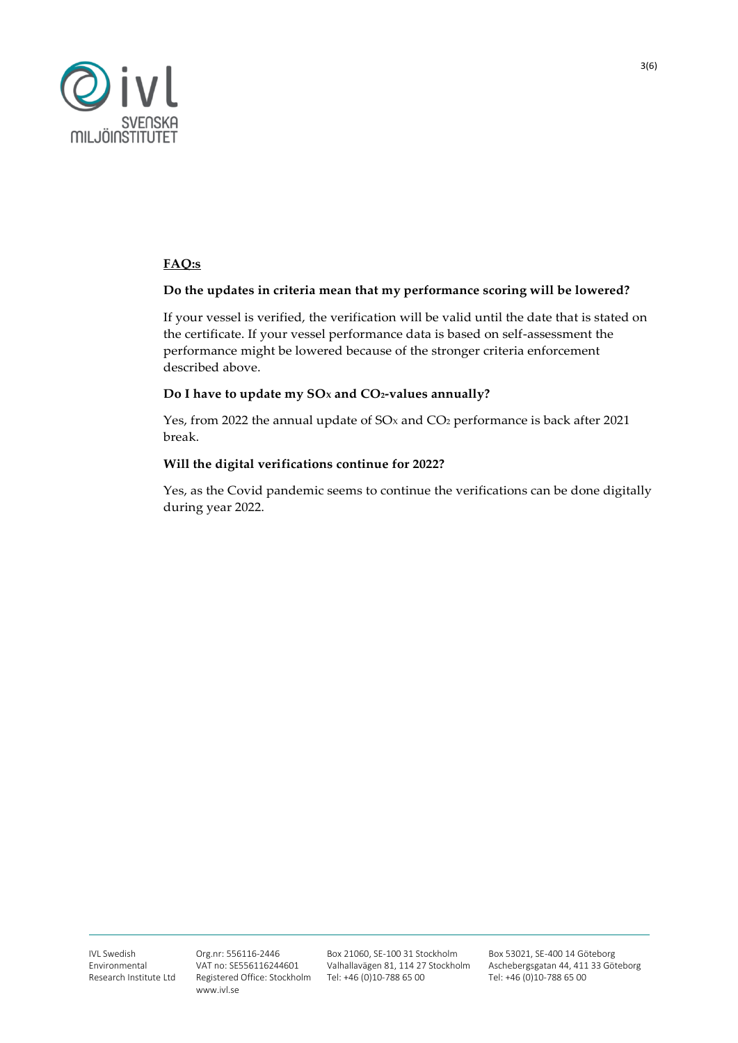

### **FAQ:s**

#### **Do the updates in criteria mean that my performance scoring will be lowered?**

If your vessel is verified, the verification will be valid until the date that is stated on the certificate. If your vessel performance data is based on self-assessment the performance might be lowered because of the stronger criteria enforcement described above.

#### **Do I have to update my SO<sup>X</sup> and CO2-values annually?**

Yes, from 2022 the annual update of  $SO<sub>x</sub>$  and  $CO<sub>2</sub>$  performance is back after 2021 break.

#### **Will the digital verifications continue for 2022?**

Yes, as the Covid pandemic seems to continue the verifications can be done digitally during year 2022.

Box 21060, SE-100 31 Stockholm Valhallavägen 81, 114 27 Stockholm Tel: +46 (0)10-788 65 00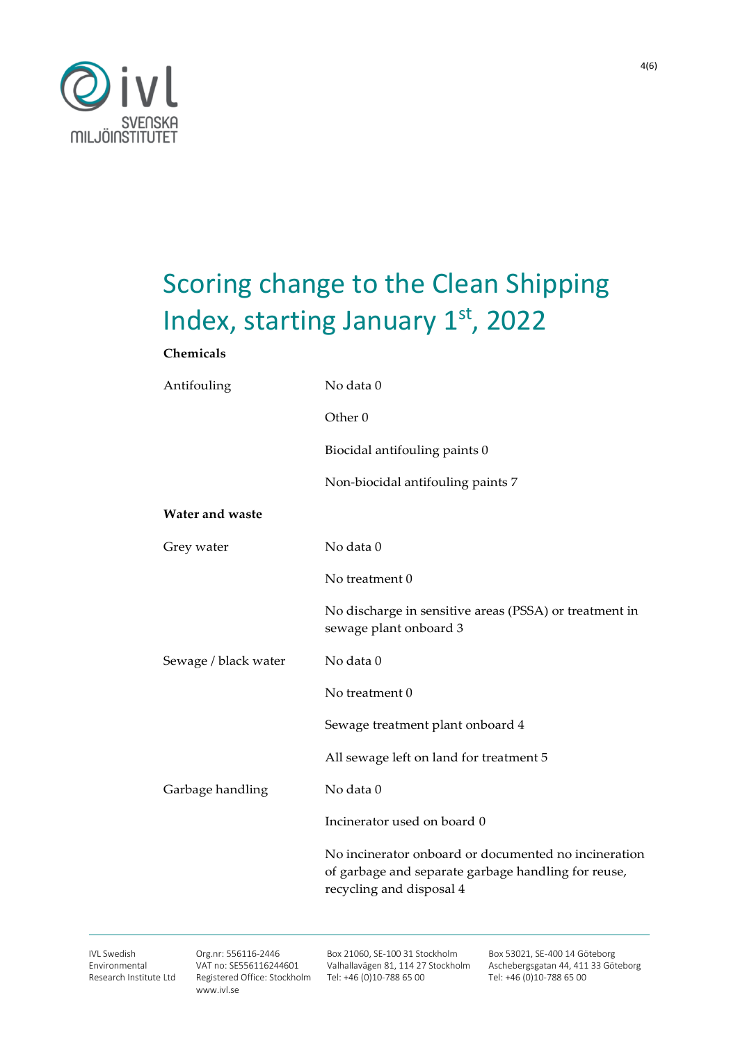

# Scoring change to the Clean Shipping Index, starting January 1st, 2022

#### **Chemicals**

| Antifouling          | No data 0                                                                                                                               |  |
|----------------------|-----------------------------------------------------------------------------------------------------------------------------------------|--|
|                      | Other <sub>0</sub>                                                                                                                      |  |
|                      | Biocidal antifouling paints 0                                                                                                           |  |
|                      | Non-biocidal antifouling paints 7                                                                                                       |  |
| Water and waste      |                                                                                                                                         |  |
| Grey water           | No data 0                                                                                                                               |  |
|                      | No treatment 0                                                                                                                          |  |
|                      | No discharge in sensitive areas (PSSA) or treatment in<br>sewage plant onboard 3                                                        |  |
| Sewage / black water | No data 0                                                                                                                               |  |
|                      | No treatment 0                                                                                                                          |  |
|                      | Sewage treatment plant onboard 4                                                                                                        |  |
|                      | All sewage left on land for treatment 5                                                                                                 |  |
| Garbage handling     | No data 0                                                                                                                               |  |
|                      | Incinerator used on board 0                                                                                                             |  |
|                      | No incinerator onboard or documented no incineration<br>of garbage and separate garbage handling for reuse,<br>recycling and disposal 4 |  |

Org.nr: 556116-2446 VAT no: SE556116244601 Registered Office: Stockholm www.ivl.se

Box 21060, SE-100 31 Stockholm Valhallavägen 81, 114 27 Stockholm Tel: +46 (0)10-788 65 00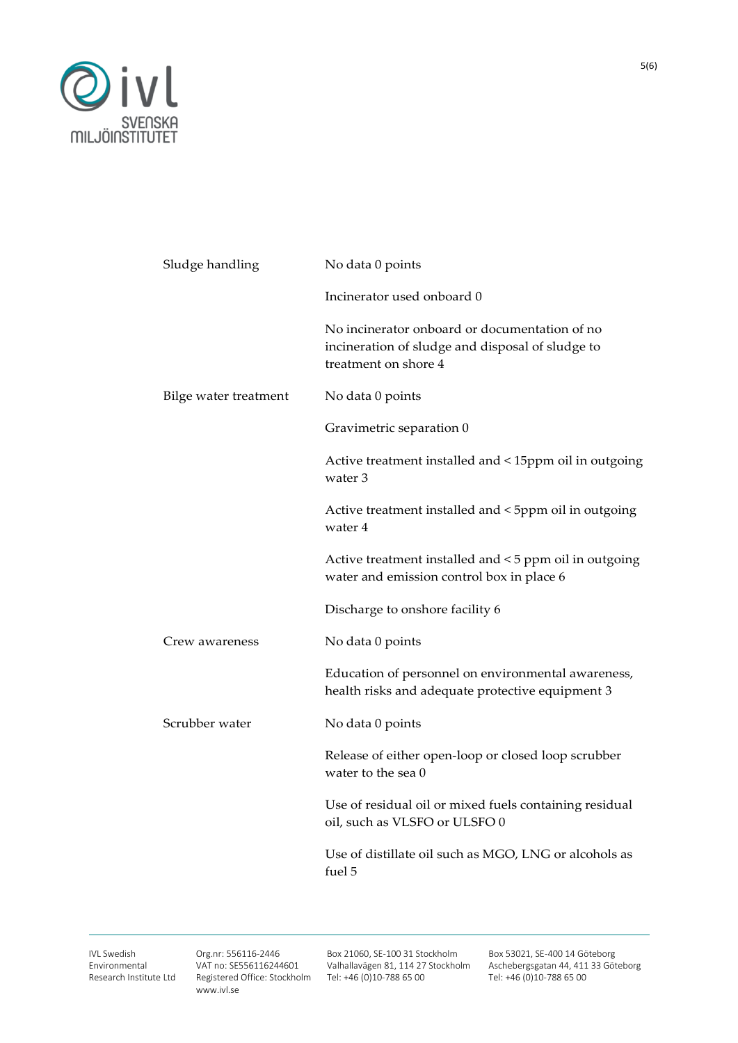

| Sludge handling       | No data 0 points                                                                                                          |  |
|-----------------------|---------------------------------------------------------------------------------------------------------------------------|--|
|                       | Incinerator used onboard 0                                                                                                |  |
|                       | No incinerator onboard or documentation of no<br>incineration of sludge and disposal of sludge to<br>treatment on shore 4 |  |
| Bilge water treatment | No data 0 points                                                                                                          |  |
|                       | Gravimetric separation 0                                                                                                  |  |
|                       | Active treatment installed and < 15ppm oil in outgoing<br>water 3                                                         |  |
|                       | Active treatment installed and < 5ppm oil in outgoing<br>water 4                                                          |  |
|                       | Active treatment installed and <5 ppm oil in outgoing<br>water and emission control box in place 6                        |  |
|                       | Discharge to onshore facility 6                                                                                           |  |
| Crew awareness        | No data 0 points                                                                                                          |  |
|                       | Education of personnel on environmental awareness,<br>health risks and adequate protective equipment 3                    |  |
| Scrubber water        | No data 0 points                                                                                                          |  |
|                       | Release of either open-loop or closed loop scrubber<br>water to the sea 0                                                 |  |
|                       | Use of residual oil or mixed fuels containing residual<br>oil, such as VLSFO or ULSFO 0                                   |  |
|                       | Use of distillate oil such as MGO, LNG or alcohols as<br>fuel 5                                                           |  |
|                       |                                                                                                                           |  |

IVL Swedish Environmental Research Institute Ltd Org.nr: 556116-2446 VAT no: SE556116244601 Registered Office: Stockholm www.ivl.se

Box 21060, SE-100 31 Stockholm Valhallavägen 81, 114 27 Stockholm Tel: +46 (0)10-788 65 00